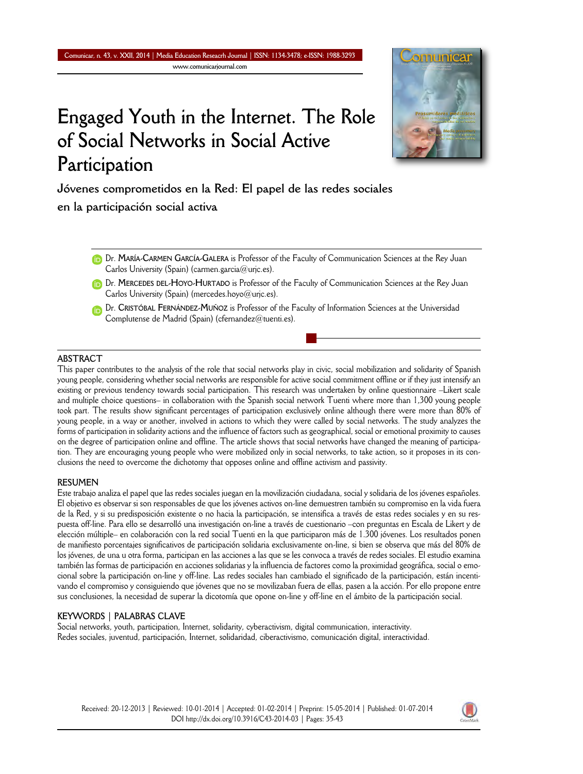# **Comunicar, n. 43, v. XXII, 2014 | Media Education Reseacrh Journal | ISSN: 1134-3478; e-ISSN: 1988-3293**

**www.comunicarjournal.com**

# **Engaged Youth in the Internet. The Role of Social Networks in Social Active Participation**



**Jóvenes comprometidos en la Red: El papel de las redes sociales en la participación social activa**

> **D** Dr. **MARÍA-CARMEN GARCÍA-GALERA** is Professor of the Faculty of Communication Sciences at the Rey Juan Carlos University (Spain) (carmen.garcia@urjc.es).

> Dr. **MERCEDES DEL-HOYO-HURTADO** is Professor of the Faculty of Communication Sciences at the Rey Juan Carlos University (Spain) (mercedes.hoyo@urjc.es).



# **ABSTRACT**

This paper contributes to the analysis of the role that social networks play in civic, social mobilization and solidarity of Spanish young people, considering whether social networks are responsible for active social commitment offline or if they just intensify an existing or previous tendency towards social participation. This research was undertaken by online questionnaire –Likert scale and multiple choice questions– in collaboration with the Spanish social network Tuenti where more than 1,300 young people took part. The results show significant percentages of participation exclusively online although there were more than 80% of young people, in a way or another, involved in actions to which they were called by social networks. The study analyzes the forms of participation in solidarity actions and the influence of factors such as geographical, social or emotional proximity to causes on the degree of participation online and offline. The article shows that social networks have changed the meaning of participation. They are encouraging young people who were mobilized only in social networks, to take action, so it proposes in its conclusions the need to overcome the dichotomy that opposes online and offline activism and passivity.

### **RESUMEN**

Este trabajo analiza el papel que las redes sociales juegan en la movilización ciudadana, social y solidaria de los jóvenes españoles. El objetivo es observar si son responsables de que los jóvenes activos on-line demuestren también su compromiso en la vida fuera de la Red, y si su predisposición existente o no hacia la participación, se intensifica a través de estas redes sociales y en su respuesta off-line. Para ello se desarrolló una investigación on-line a través de cuestionario –con preguntas en Escala de Likert y de elección múltiple– en colaboración con la red social Tuenti en la que participaron más de 1.300 jóvenes. Los resultados ponen de manifiesto porcentajes significativos de participación solidaria exclusivamente on-line, si bien se observa que más del 80% de los jóvenes, de una u otra forma, participan en las acciones a las que se les convoca a través de redes sociales. El estudio examina también las formas de participación en acciones solidarias y la influencia de factores como la proximidad geográfica, social o emocional sobre la participación on-line y off-line. Las redes sociales han cambiado el significado de la participación, están incentivando el compromiso y consiguiendo que jóvenes que no se movilizaban fuera de ellas, pasen a la acción. Por ello propone entre sus conclusiones, la necesidad de superar la dicotomía que opone on-line y off-line en el ámbito de la participación social.

### **KEYWORDS | PALABRAS CLAVE**

Social networks, youth, participation, Internet, solidarity, cyberactivism, digital communication, interactivity. Redes sociales, juventud, participación, Internet, solidaridad, ciberactivismo, comunicación digital, interactividad.

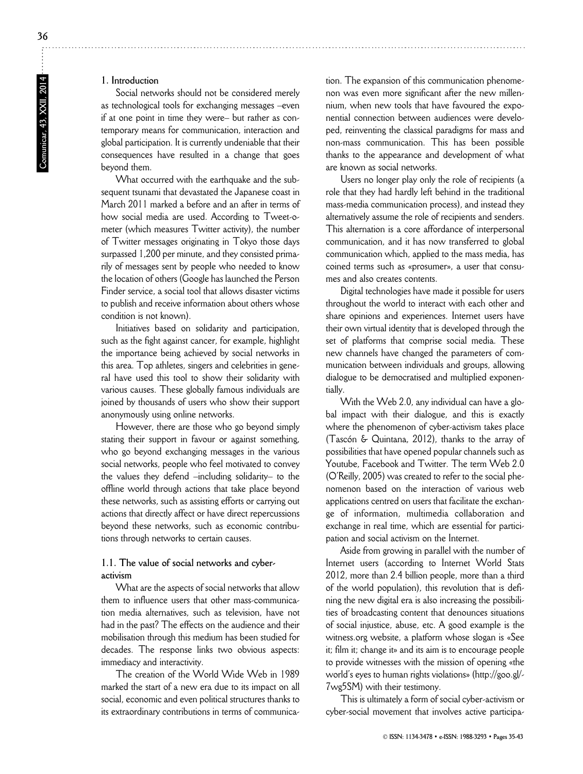# **1. Introduction**

Social networks should not be considered merely as technological tools for exchanging messages –even if at one point in time they were– but rather as contemporary means for communication, interaction and global participation. It is currently undeniable that their consequences have resulted in a change that goes beyond them.

What occurred with the earthquake and the subsequent tsunami that devastated the Japanese coast in March 2011 marked a before and an after in terms of how social media are used. According to Tweet-ometer (which measures Twitter activity), the number of Twitter messages originating in Tokyo those days surpassed 1,200 per minute, and they consisted primarily of messages sent by people who needed to know the location of others (Google has launched the Person Finder service, a social tool that allows disaster victims to publish and receive information about others whose condition is not known).

Initiatives based on solidarity and participation, such as the fight against cancer, for example, highlight the importance being achieved by social networks in this area. Top athletes, singers and celebrities in general have used this tool to show their solidarity with various causes. These globally famous individuals are joined by thousands of users who show their support anonymously using online networks.

However, there are those who go beyond simply stating their support in favour or against something, who go beyond exchanging messages in the various social networks, people who feel motivated to convey the values they defend –including solidarity– to the offline world through actions that take place beyond these networks, such as assisting efforts or carrying out actions that directly affect or have direct repercussions beyond these networks, such as economic contributions through networks to certain causes.

# **1.1. The value of social networks and cyberactivism**

What are the aspects of social networks that allow them to influence users that other mass-communication media alternatives, such as television, have not had in the past? The effects on the audience and their mobilisation through this medium has been studied for decades. The response links two obvious aspects: immediacy and interactivity.

The creation of the World Wide Web in 1989 marked the start of a new era due to its impact on all social, economic and even political structures thanks to its extraordinary contributions in terms of communication. The expansion of this communication phenomenon was even more significant after the new millennium, when new tools that have favoured the exponential connection between audiences were developed, reinventing the classical paradigms for mass and non-mass communication. This has been possible thanks to the appearance and development of what are known as social networks.

Users no longer play only the role of recipients (a role that they had hardly left behind in the traditional mass-media communication process), and instead they alternatively assume the role of recipients and senders. This alternation is a core affordance of interpersonal communication, and it has now transferred to global communication which, applied to the mass media, has coined terms such as «prosumer», a user that consumes and also creates contents.

Digital technologies have made it possible for users throughout the world to interact with each other and share opinions and experiences. Internet users have their own virtual identity that is developed through the set of platforms that comprise social media. These new channels have changed the parameters of communication between individuals and groups, allowing dialogue to be democratised and multiplied exponentially.

With the Web 2.0, any individual can have a global impact with their dialogue, and this is exactly where the phenomenon of cyber-activism takes place (Tascón & Quintana, 2012), thanks to the array of possibilities that have opened popular channels such as Youtube, Facebook and Twitter. The term Web 2.0 (O'Reilly, 2005) was created to refer to the social phenomenon based on the interaction of various web applications centred on users that facilitate the exchange of information, multimedia collaboration and exchange in real time, which are essential for participation and social activism on the Internet.

Aside from growing in parallel with the number of Internet users (according to Internet World Stats 2012, more than 2.4 billion people, more than a third of the world population), this revolution that is defining the new digital era is also increasing the possibilities of broadcasting content that denounces situations of social injustice, abuse, etc. A good example is the witness.org website, a platform whose slogan is «See it; film it; change it» and its aim is to encourage people to provide witnesses with the mission of opening «the world's eyes to human rights violations» (http://goo.gl/-7wg5SM) with their testimony.

This is ultimately a form of social cyber-activism or cyber-social movement that involves active participa-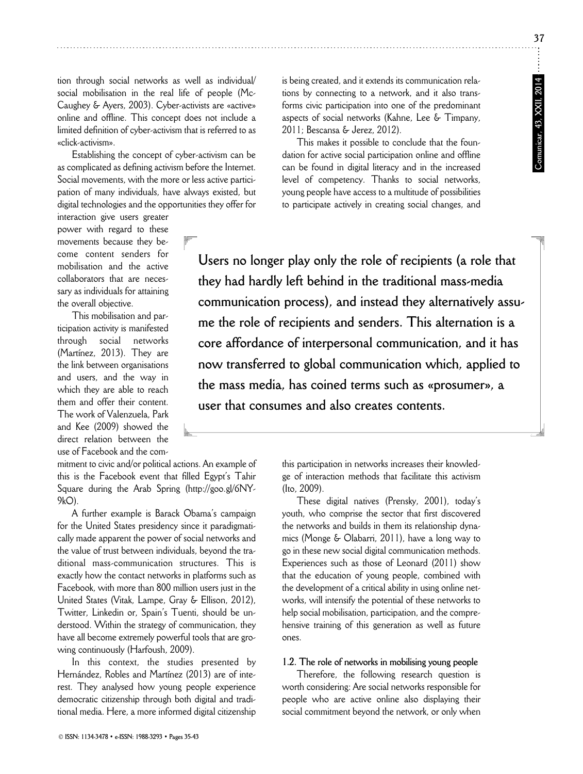**37**

tion through social networks as well as individual/ social mobilisation in the real life of people (Mc-Caughey & Ayers, 2003). Cyber-activists are «active» online and offline. This concept does not include a limited definition of cyber-activism that is referred to as «click-activism».

Establishing the concept of cyber-activism can be as complicated as defining activism before the Internet. Social movements, with the more or less active participation of many individuals, have always existed, but digital technologies and the opportunities they offer for

interaction give users greater power with regard to these movements because they become content senders for mobilisation and the active collaborators that are necessary as individuals for attaining the overall objective.

This mobilisation and participation activity is manifested through social networks (Martínez, 2013). They are the link between organisations and users, and the way in which they are able to reach them and offer their content. The work of Valenzuela, Park and Kee (2009) showed the direct relation between the use of Facebook and the comis being created, and it extends its communication relations by connecting to a network, and it also transforms civic participation into one of the predominant aspects of social networks (Kahne, Lee & Timpany, 2011; Bescansa & Jerez, 2012).

This makes it possible to conclude that the foundation for active social participation online and offline can be found in digital literacy and in the increased level of competency. Thanks to social networks, young people have access to a multitude of possibilities to participate actively in creating social changes, and

**Users no longer play only the role of recipients (a role that they had hardly left behind in the traditional mass-media communication process), and instead they alternatively assume the role of recipients and senders. This alternation is a core affordance of interpersonal communication, and it has now transferred to global communication which, applied to the mass media, has coined terms such as «prosumer», a user that consumes and also creates contents.**

mitment to civic and/or political actions. An example of this is the Facebook event that filled Egypt's Tahir Square during the Arab Spring (http://goo.gl/6NY-9kO).

A further example is Barack Obama's campaign for the United States presidency since it paradigmatically made apparent the power of social networks and the value of trust between individuals, beyond the traditional mass-communication structures. This is exactly how the contact networks in platforms such as Facebook, with more than 800 million users just in the United States (Vitak, Lampe, Gray & Ellison, 2012), Twitter, Linkedin or, Spain's Tuenti, should be understood. Within the strategy of communication, they have all become extremely powerful tools that are growing continuously (Harfoush, 2009).

In this context, the studies presented by Hernández, Robles and Martínez (2013) are of interest. They analysed how young people experience democratic citizenship through both digital and traditional media. Here, a more informed digital citizenship this participation in networks increases their knowledge of interaction methods that facilitate this activism (Ito, 2009).

These digital natives (Prensky, 2001), today's youth, who comprise the sector that first discovered the networks and builds in them its relationship dynamics (Monge & Olabarri, 2011), have a long way to go in these new social digital communication methods. Experiences such as those of Leonard (2011) show that the education of young people, combined with the development of a critical ability in using online networks, will intensify the potential of these networks to help social mobilisation, participation, and the comprehensive training of this generation as well as future ones.

## **1.2. The role of networks in mobilising young people**

Therefore, the following research question is worth considering: Are social networks responsible for people who are active online also displaying their social commitment beyond the network, or only when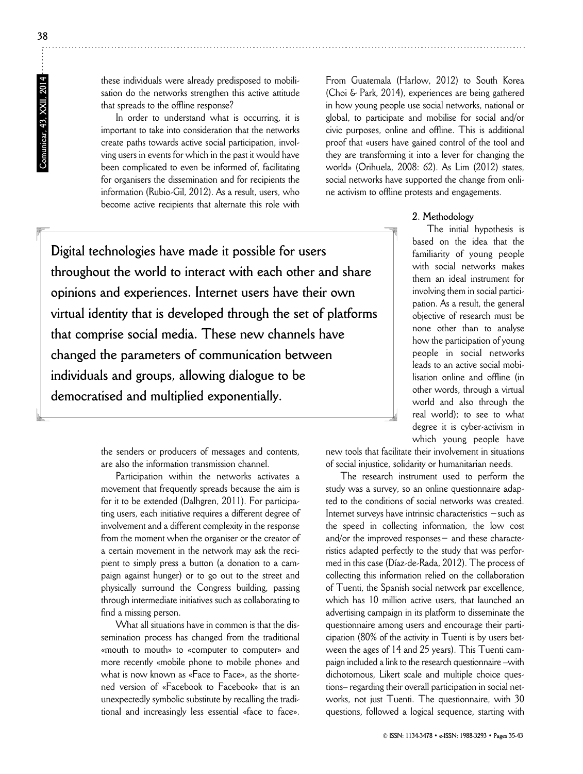**Comunicar, 43, XXII, 2014**

Comunicar, 43, XXII, 2014

In order to understand what is occurring, it is important to take into consideration that the networks create paths towards active social participation, involving users in events for which in the past it would have been complicated to even be informed of, facilitating for organisers the dissemination and for recipients the information (Rubio-Gil, 2012). As a result, users, who become active recipients that alternate this role with

From Guatemala (Harlow, 2012) to South Korea (Choi & Park, 2014), experiences are being gathered in how young people use social networks, national or global, to participate and mobilise for social and/or civic purposes, online and offline. This is additional proof that «users have gained control of the tool and they are transforming it into a lever for changing the world» (Orihuela, 2008: 62). As Lim (2012) states, social networks have supported the change from online activism to offline protests and engagements.

# **2. Methodology**

**Digital technologies have made it possible for users throughout the world to interact with each other and share opinions and experiences. Internet users have their own virtual identity that is developed through the set of platforms that comprise social media. These new channels have changed the parameters of communication between individuals and groups, allowing dialogue to be democratised and multiplied exponentially.** 

> the senders or producers of messages and contents, are also the information transmission channel.

> Participation within the networks activates a movement that frequently spreads because the aim is for it to be extended (Dalhgren, 2011). For participating users, each initiative requires a different degree of involvement and a different complexity in the response from the moment when the organiser or the creator of a certain movement in the network may ask the recipient to simply press a button (a donation to a campaign against hunger) or to go out to the street and physically surround the Congress building, passing through intermediate initiatives such as collaborating to find a missing person.

> What all situations have in common is that the dissemination process has changed from the traditional «mouth to mouth» to «computer to computer» and more recently «mobile phone to mobile phone» and what is now known as «Face to Face», as the shortened version of «Facebook to Facebook» that is an unexpectedly symbolic substitute by recalling the traditional and increasingly less essential «face to face».

The initial hypothesis is based on the idea that the familiarity of young people with social networks makes them an ideal instrument for involving them in social participation. As a result, the general objective of research must be none other than to analyse how the participation of young people in social networks leads to an active social mobilisation online and offline (in other words, through a virtual world and also through the real world); to see to what degree it is cyber-activism in which young people have

new tools that facilitate their involvement in situations of social injustice, solidarity or humanitarian needs.

The research instrument used to perform the study was a survey, so an online questionnaire adapted to the conditions of social networks was created. Internet surveys have intrinsic characteristics  $-$  such as the speed in collecting information, the low cost and/or the improved responses- and these characteristics adapted perfectly to the study that was performed in this case (Díaz-de-Rada, 2012). The process of collecting this information relied on the collaboration of Tuenti, the Spanish social network par excellence, which has 10 million active users, that launched an advertising campaign in its platform to disseminate the questionnaire among users and encourage their participation (80% of the activity in Tuenti is by users between the ages of 14 and 25 years). This Tuenti campaign included a link to the research questionnaire –with dichotomous, Likert scale and multiple choice questions– regarding their overall participation in social networks, not just Tuenti. The questionnaire, with 30 questions, followed a logical sequence, starting with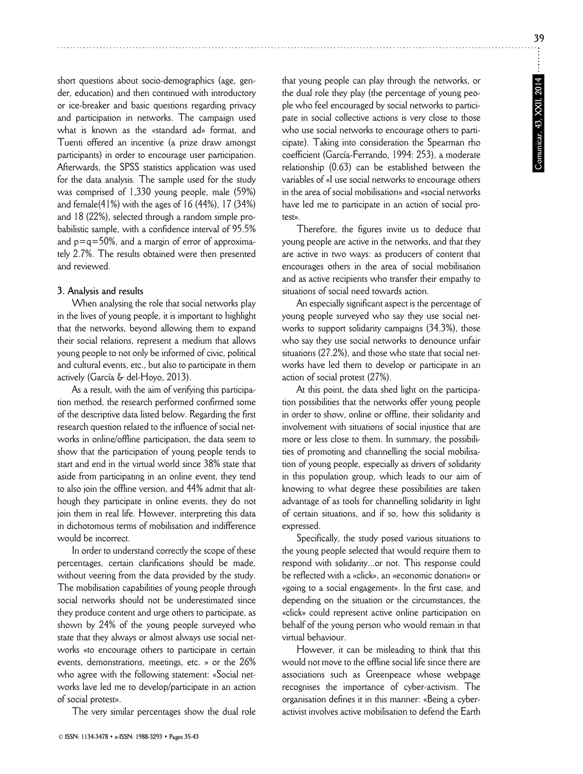short questions about socio-demographics (age, gender, education) and then continued with introductory or ice-breaker and basic questions regarding privacy and participation in networks. The campaign used what is known as the «standard ad» format, and Tuenti offered an incentive (a prize draw amongst participants) in order to encourage user participation. Afterwards, the SPSS statistics application was used for the data analysis. The sample used for the study was comprised of 1,330 young people, male (59%) and female(41%) with the ages of 16 (44%), 17 (34%) and 18 (22%), selected through a random simple probabilistic sample, with a confidence interval of 95.5% and  $p=q=50%$ , and a margin of error of approximately 2.7%. The results obtained were then presented and reviewed.

### **3. Analysis and results**

When analysing the role that social networks play in the lives of young people, it is important to highlight that the networks, beyond allowing them to expand their social relations, represent a medium that allows young people to not only be informed of civic, political and cultural events, etc., but also to participate in them actively (García & del-Hoyo, 2013).

As a result, with the aim of verifying this participation method, the research performed confirmed some of the descriptive data listed below. Regarding the first research question related to the influence of social networks in online/offline participation, the data seem to show that the participation of young people tends to start and end in the virtual world since 38% state that aside from participating in an online event, they tend to also join the offline version, and 44% admit that although they participate in online events, they do not join them in real life. However, interpreting this data in dichotomous terms of mobilisation and indifference would be incorrect.

In order to understand correctly the scope of these percentages, certain clarifications should be made, without veering from the data provided by the study. The mobilisation capabilities of young people through social networks should not be underestimated since they produce content and urge others to participate, as shown by 24% of the young people surveyed who state that they always or almost always use social networks «to encourage others to participate in certain events, demonstrations, meetings, etc. » or the 26% who agree with the following statement: «Social networks lave led me to develop/participate in an action of social protest».

The very similar percentages show the dual role

that young people can play through the networks, or the dual role they play (the percentage of young people who feel encouraged by social networks to participate in social collective actions is very close to those who use social networks to encourage others to participate). Taking into consideration the Spearman rho coefficient (García-Ferrando, 1994: 253), a moderate relationship (0.63) can be established between the variables of «I use social networks to encourage others in the area of social mobilisation» and «social networks have led me to participate in an action of social protest».

Therefore, the figures invite us to deduce that young people are active in the networks, and that they are active in two ways: as producers of content that encourages others in the area of social mobilisation and as active recipients who transfer their empathy to situations of social need towards action.

An especially significant aspect is the percentage of young people surveyed who say they use social networks to support solidarity campaigns (34.3%), those who say they use social networks to denounce unfair situations (27.2%), and those who state that social networks have led them to develop or participate in an action of social protest (27%).

At this point, the data shed light on the participation possibilities that the networks offer young people in order to show, online or offline, their solidarity and involvement with situations of social injustice that are more or less close to them. In summary, the possibilities of promoting and channelling the social mobilisation of young people, especially as drivers of solidarity in this population group, which leads to our aim of knowing to what degree these possibilities are taken advantage of as tools for channelling solidarity in light of certain situations, and if so, how this solidarity is expressed.

Specifically, the study posed various situations to the young people selected that would require them to respond with solidarity...or not. This response could be reflected with a «click», an «economic donation» or «going to a social engagement». In the first case, and depending on the situation or the circumstances, the «click» could represent active online participation on behalf of the young person who would remain in that virtual behaviour.

However, it can be misleading to think that this would not move to the offline social life since there are associations such as Greenpeace whose webpage recognises the importance of cyber-activism. The organisation defines it in this manner: «Being a cyberactivist involves active mobilisation to defend the Earth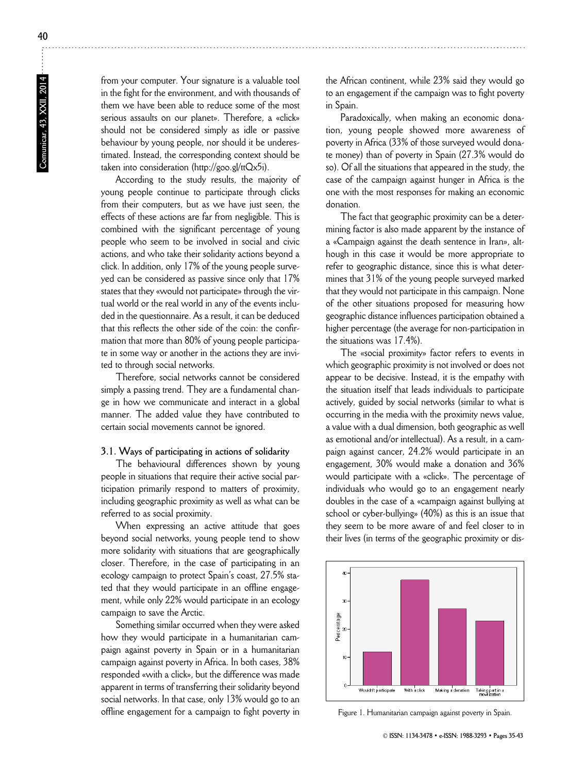from your computer. Your signature is a valuable tool in the fight for the environment, and with thousands of them we have been able to reduce some of the most serious assaults on our planet». Therefore, a «click» should not be considered simply as idle or passive behaviour by young people, nor should it be underestimated. Instead, the corresponding context should be taken into consideration (http://goo.gl/ttQx5i).

According to the study results, the majority of young people continue to participate through clicks from their computers, but as we have just seen, the effects of these actions are far from negligible. This is combined with the significant percentage of young people who seem to be involved in social and civic actions, and who take their solidarity actions beyond a click. In addition, only 17% of the young people surveyed can be considered as passive since only that 17% states that they «would not participate» through the virtual world or the real world in any of the events included in the questionnaire. As a result, it can be deduced that this reflects the other side of the coin: the confirmation that more than 80% of young people participate in some way or another in the actions they are invited to through social networks.

Therefore, social networks cannot be considered simply a passing trend. They are a fundamental change in how we communicate and interact in a global manner. The added value they have contributed to certain social movements cannot be ignored.

#### **3.1. Ways of participating in actions of solidarity**

The behavioural differences shown by young people in situations that require their active social participation primarily respond to matters of proximity, including geographic proximity as well as what can be referred to as social proximity.

When expressing an active attitude that goes beyond social networks, young people tend to show more solidarity with situations that are geographically closer. Therefore, in the case of participating in an ecology campaign to protect Spain's coast, 27.5% stated that they would participate in an offline engagement, while only 22% would participate in an ecology campaign to save the Arctic.

Something similar occurred when they were asked how they would participate in a humanitarian campaign against poverty in Spain or in a humanitarian campaign against poverty in Africa. In both cases, 38% responded «with a click», but the difference was made apparent in terms of transferring their solidarity beyond social networks. In that case, only 13% would go to an offline engagement for a campaign to fight poverty in

the African continent, while 23% said they would go to an engagement if the campaign was to fight poverty in Spain.

Paradoxically, when making an economic donation, young people showed more awareness of poverty in Africa (33% of those surveyed would donate money) than of poverty in Spain (27.3% would do so). Of all the situations that appeared in the study, the case of the campaign against hunger in Africa is the one with the most responses for making an economic donation.

The fact that geographic proximity can be a determining factor is also made apparent by the instance of a «Campaign against the death sentence in Iran», although in this case it would be more appropriate to refer to geographic distance, since this is what determines that 31% of the young people surveyed marked that they would not participate in this campaign. None of the other situations proposed for measuring how geographic distance influences participation obtained a higher percentage (the average for non-participation in the situations was 17.4%).

The «social proximity» factor refers to events in which geographic proximity is not involved or does not appear to be decisive. Instead, it is the empathy with the situation itself that leads individuals to participate actively, guided by social networks (similar to what is occurring in the media with the proximity news value, a value with a dual dimension, both geographic as well as emotional and/or intellectual). As a result, in a campaign against cancer, 24.2% would participate in an engagement, 30% would make a donation and 36% would participate with a «click». The percentage of individuals who would go to an engagement nearly doubles in the case of a «campaign against bullying at school or cyber-bullying» (40%) as this is an issue that they seem to be more aware of and feel closer to in their lives (in terms of the geographic proximity or dis-



Figure 1. Humanitarian campaign against poverty in Spain.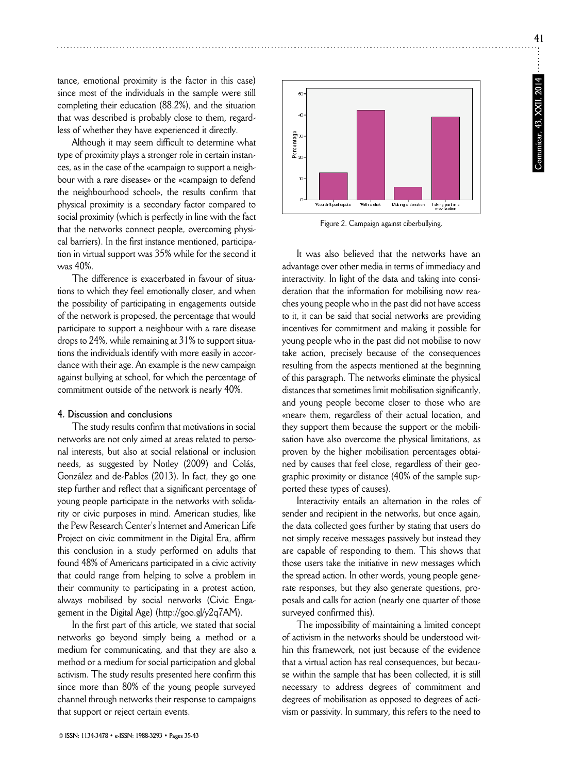**41**

tance, emotional proximity is the factor in this case) since most of the individuals in the sample were still completing their education (88.2%), and the situation that was described is probably close to them, regardless of whether they have experienced it directly.

Although it may seem difficult to determine what type of proximity plays a stronger role in certain instances, as in the case of the «campaign to support a neighbour with a rare disease» or the «campaign to defend the neighbourhood school», the results confirm that physical proximity is a secondary factor compared to social proximity (which is perfectly in line with the fact that the networks connect people, overcoming physical barriers). In the first instance mentioned, participation in virtual support was 35% while for the second it was 40%.

The difference is exacerbated in favour of situations to which they feel emotionally closer, and when the possibility of participating in engagements outside of the network is proposed, the percentage that would participate to support a neighbour with a rare disease drops to 24%, while remaining at 31% to support situations the individuals identify with more easily in accordance with their age. An example is the new campaign against bullying at school, for which the percentage of commitment outside of the network is nearly 40%.

#### **4. Discussion and conclusions**

The study results confirm that motivations in social networks are not only aimed at areas related to personal interests, but also at social relational or inclusion needs, as suggested by Notley (2009) and Colás, González and de-Pablos (2013). In fact, they go one step further and reflect that a significant percentage of young people participate in the networks with solidarity or civic purposes in mind. American studies, like the Pew Research Center's Internet and American Life Project on civic commitment in the Digital Era, affirm this conclusion in a study performed on adults that found 48% of Americans participated in a civic activity that could range from helping to solve a problem in their community to participating in a protest action, always mobilised by social networks (Civic Engagement in the Digital Age) (http://goo.gl/y2q 7AM).

In the first part of this article, we stated that social networks go beyond simply being a method or a medium for communicating, and that they are also a method or a medium for social participation and global activism. The study results presented here confirm this since more than 80% of the young people surveyed channel through networks their response to campaigns that support or reject certain events.



Figure 2. Campaign against ciberbullying.

It was also believed that the networks have an advantage over other media in terms of immediacy and interactivity. In light of the data and taking into consideration that the information for mobilising now reaches young people who in the past did not have access to it, it can be said that social networks are providing incentives for commitment and making it possible for young people who in the past did not mobilise to now take action, precisely because of the consequences resulting from the aspects mentioned at the beginning of this paragraph. The networks eliminate the physical distances that sometimes limit mobilisation significantly, and young people become closer to those who are «near» them, regardless of their actual location, and they support them because the support or the mobilisation have also overcome the physical limitations, as proven by the higher mobilisation percentages obtained by causes that feel close, regardless of their geographic proximity or distance (40% of the sample supported these types of causes).

Interactivity entails an alternation in the roles of sender and recipient in the networks, but once again, the data collected goes further by stating that users do not simply receive messages passively but instead they are capable of responding to them. This shows that those users take the initiative in new messages which the spread action. In other words, young people generate responses, but they also generate questions, proposals and calls for action (nearly one quarter of those surveyed confirmed this).

The impossibility of maintaining a limited concept of activism in the networks should be understood within this framework, not just because of the evidence that a virtual action has real consequences, but because within the sample that has been collected, it is still necessary to address degrees of commitment and degrees of mobilisation as opposed to degrees of activism or passivity. In summary, this refers to the need to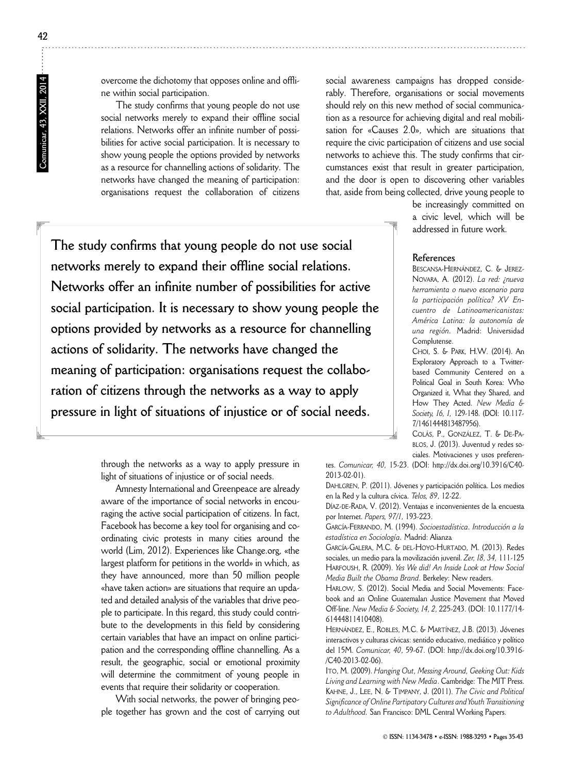**Comunicar, 43, XXII, 2014**

Comunicar, 43, XXII, 2014

The study confirms that young people do not use social networks merely to expand their offline social relations. Networks offer an infinite number of possibilities for active social participation. It is necessary to show young people the options provided by networks as a resource for channelling actions of solidarity. The networks have changed the meaning of participation: organisations request the collaboration of citizens social awareness campaigns has dropped considerably. Therefore, organisations or social movements should rely on this new method of social communication as a resource for achieving digital and real mobilisation for «Causes 2.0», which are situations that require the civic participation of citizens and use social networks to achieve this. The study confirms that circumstances exist that result in greater participation, and the door is open to discovering other variables that, aside from being collected, drive young people to

**The study confirms that young people do not use social networks merely to expand their offline social relations. Networks offer an infinite number of possibilities for active social participation. It is necessary to show young people the options provided by networks as a resource for channelling actions of solidarity. The networks have changed the**  meaning of participation: organisations request the collabo**ration of citizens through the networks as a way to apply pressure in light of situations of injustice or of social needs.**

be increasingly committed on a civic level, which will be addressed in future work.

#### **References**

BESCANSA-HERNÁNDEZ, C. & JEREZ-NOVARA, A. (2012). *La red: ¿nueva herramienta o nuevo escenario para la participación política? XV En cuentro de Latinoamericanistas: Amé rica Latina: la autonomía de una región.* Madrid: Universidad Complutense.

CHOI, S. & PARK, H.W. (2014). An Exploratory Approach to a Twitterbased Community Centered on a Political Goal in South Korea: Who Organized it, What they Shared, and How They Acted. New Media & *Society, 16, 1, 129-148. (DOI: 10.117-*7/1461 444813487956).

COLÁS, P., GONZÁLEZ, T. & DE-PA-BLOS, J. (2013). Juventud y redes sociales. Motivaciones y usos preferen-

through the networks as a way to apply pressure in light of situations of injustice or of social needs.

Amnesty International and Greenpeace are already aware of the importance of social networks in encouraging the active social participation of citizens. In fact, Facebook has become a key tool for organising and coordinating civic protests in many cities around the world (Lim, 2012). Experiences like Change.org, «the largest platform for petitions in the world» in which, as they have announced, more than 50 million people «have taken action» are situations that require an updated and detailed analysis of the variables that drive people to participate. In this regard, this study could contribute to the developments in this field by considering certain variables that have an impact on online participation and the corresponding offline channelling. As a result, the geographic, social or emotional proximity will determine the commitment of young people in events that require their solidarity or cooperation.

With social networks, the power of bringing people together has grown and the cost of carrying out tes. *Comunicar, 40,* 15-23. (DOI: http://dx.doi.org/10.3 916/C40- 2013-02-01).

DAHLGREN, P. (2011). Jóvenes y participación política. Los medios en la Red y la cultura cívica. *Telos, 89*, 12-22.

DÍAZ-DE-RADA, V. (2012). Ventajas e inconvenientes de la encuesta por Internet. *Papers, 97/1*, 193-223.

GARCÍA-FERRANDO, M. (1994). *Socioestadística. Introducción a la estadística en Sociología.* Madrid: Alianza

GARCÍA-GALERA, M.C. & DEL-HOYO-HURTADO, M. (2013). Redes sociales, un medio para la movilización juvenil. *Zer, 18, 34,* 111-125 HARFOUSH, R. (2009). *Yes We did! An Inside Look at How Social Media Built the Obama Brand*. Berkeley: New readers.

HARLOW, S. (2012). Social Media and Social Movements: Facebook and an Online Guatemalan Justice Movement that Moved Off-line. *New Media & Society, 14, 2,* 225-243. (DOI: 10.1177/14 - 61444811410408).

HERNÁNDEZ, E., ROBLES, M.C. & MARTÍNEZ, J.B. (2013). Jóvenes interactivos y culturas cívicas: sentido educativo, mediático y político del 15M. *Comunicar, 40*, 59-67. (DOI: http://dx.doi.org/10.3916 - /C 40-2013-02-06).

ITO, M. (2009). *Hanging Out, Messing Around, Geeking Out: Kids Living and Learning with New Media*. Cambridge: The MIT Press. KAHNE, J., LEE, N. & TIMPANY, J. (2011). *The Civic and Political Significance of Online Partipatory Cultures and Youth Transitioning to Adulthood.* San Francisco: DML Central Working Papers.